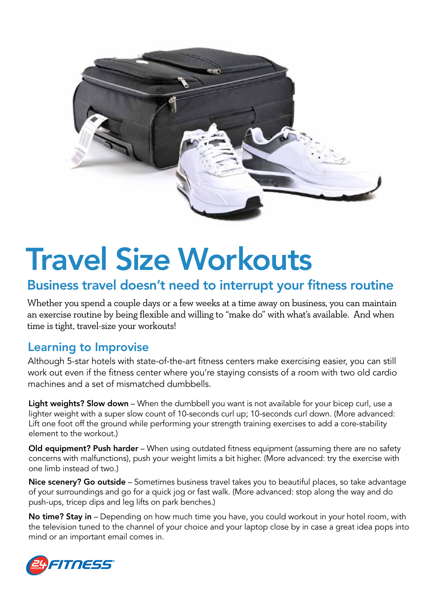

# Travel Size Workouts

# Business travel doesn't need to interrupt your fitness routine

Whether you spend a couple days or a few weeks at a time away on business, you can maintain an exercise routine by being flexible and willing to "make do" with what's available. And when time is tight, travel-size your workouts!

#### Learning to Improvise

Although 5-star hotels with state-of-the-art fitness centers make exercising easier, you can still work out even if the fitness center where you're staying consists of a room with two old cardio machines and a set of mismatched dumbbells.

Light weights? Slow down – When the dumbbell you want is not available for your bicep curl, use a lighter weight with a super slow count of 10-seconds curl up; 10-seconds curl down. (More advanced: Lift one foot off the ground while performing your strength training exercises to add a core-stability element to the workout.)

**Old equipment? Push harder** – When using outdated fitness equipment (assuming there are no safety concerns with malfunctions), push your weight limits a bit higher. (More advanced: try the exercise with one limb instead of two.)

Nice scenery? Go outside – Sometimes business travel takes you to beautiful places, so take advantage of your surroundings and go for a quick jog or fast walk. (More advanced: stop along the way and do push-ups, tricep dips and leg lifts on park benches.)

No time? Stay in - Depending on how much time you have, you could workout in your hotel room, with the television tuned to the channel of your choice and your laptop close by in case a great idea pops into mind or an important email comes in.